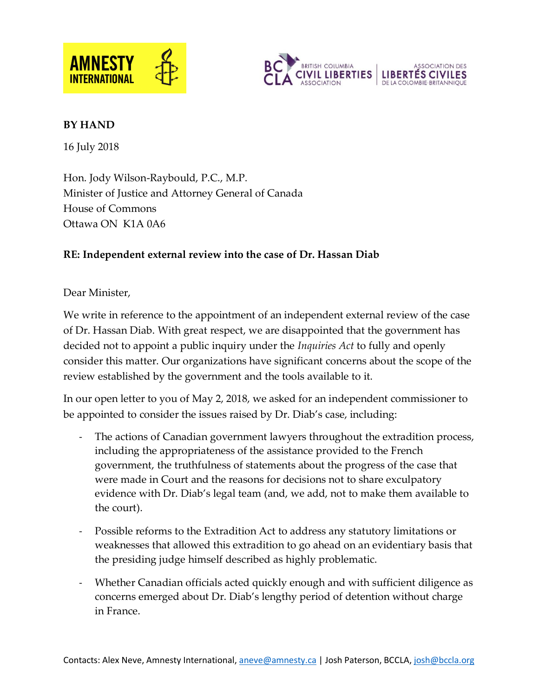



#### **BY HAND**

16 July 2018

Hon. Jody Wilson-Raybould, P.C., M.P. Minister of Justice and Attorney General of Canada House of Commons Ottawa ON K1A 0A6

## **RE: Independent external review into the case of Dr. Hassan Diab**

Dear Minister,

We write in reference to the appointment of an independent external review of the case of Dr. Hassan Diab. With great respect, we are disappointed that the government has decided not to appoint a public inquiry under the *Inquiries Act* to fully and openly consider this matter. Our organizations have significant concerns about the scope of the review established by the government and the tools available to it.

In our open letter to you of May 2, 2018, we asked for an independent commissioner to be appointed to consider the issues raised by Dr. Diab's case, including:

- The actions of Canadian government lawyers throughout the extradition process, including the appropriateness of the assistance provided to the French government, the truthfulness of statements about the progress of the case that were made in Court and the reasons for decisions not to share exculpatory evidence with Dr. Diab's legal team (and, we add, not to make them available to the court).
- Possible reforms to the Extradition Act to address any statutory limitations or weaknesses that allowed this extradition to go ahead on an evidentiary basis that the presiding judge himself described as highly problematic.
- Whether Canadian officials acted quickly enough and with sufficient diligence as concerns emerged about Dr. Diab's lengthy period of detention without charge in France.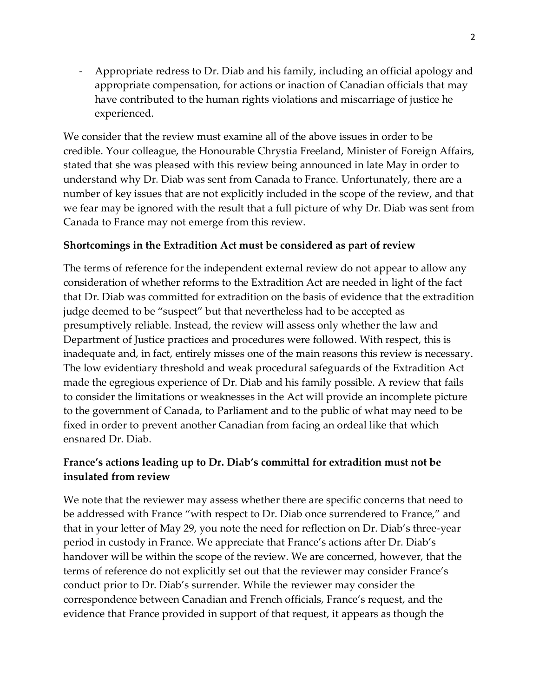- Appropriate redress to Dr. Diab and his family, including an official apology and appropriate compensation, for actions or inaction of Canadian officials that may have contributed to the human rights violations and miscarriage of justice he experienced.

We consider that the review must examine all of the above issues in order to be credible. Your colleague, the Honourable Chrystia Freeland, Minister of Foreign Affairs, stated that she was pleased with this review being announced in late May in order to understand why Dr. Diab was sent from Canada to France. Unfortunately, there are a number of key issues that are not explicitly included in the scope of the review, and that we fear may be ignored with the result that a full picture of why Dr. Diab was sent from Canada to France may not emerge from this review.

### **Shortcomings in the Extradition Act must be considered as part of review**

The terms of reference for the independent external review do not appear to allow any consideration of whether reforms to the Extradition Act are needed in light of the fact that Dr. Diab was committed for extradition on the basis of evidence that the extradition judge deemed to be "suspect" but that nevertheless had to be accepted as presumptively reliable. Instead, the review will assess only whether the law and Department of Justice practices and procedures were followed. With respect, this is inadequate and, in fact, entirely misses one of the main reasons this review is necessary. The low evidentiary threshold and weak procedural safeguards of the Extradition Act made the egregious experience of Dr. Diab and his family possible. A review that fails to consider the limitations or weaknesses in the Act will provide an incomplete picture to the government of Canada, to Parliament and to the public of what may need to be fixed in order to prevent another Canadian from facing an ordeal like that which ensnared Dr. Diab.

## **France's actions leading up to Dr. Diab's committal for extradition must not be insulated from review**

We note that the reviewer may assess whether there are specific concerns that need to be addressed with France "with respect to Dr. Diab once surrendered to France," and that in your letter of May 29, you note the need for reflection on Dr. Diab's three-year period in custody in France. We appreciate that France's actions after Dr. Diab's handover will be within the scope of the review. We are concerned, however, that the terms of reference do not explicitly set out that the reviewer may consider France's conduct prior to Dr. Diab's surrender. While the reviewer may consider the correspondence between Canadian and French officials, France's request, and the evidence that France provided in support of that request, it appears as though the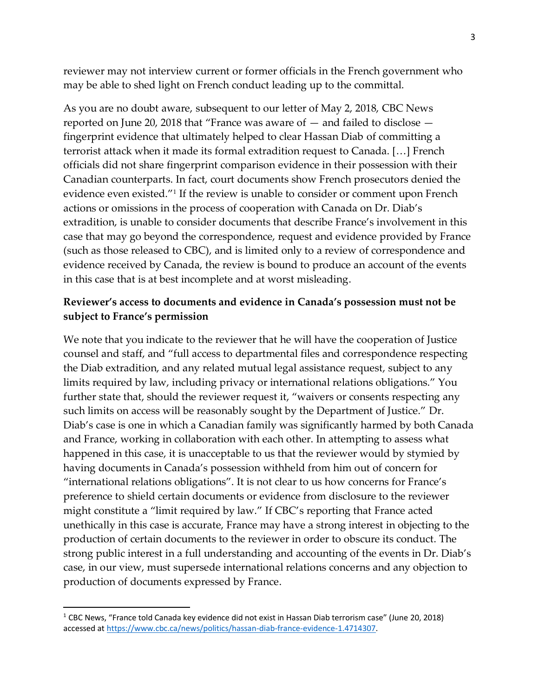reviewer may not interview current or former officials in the French government who may be able to shed light on French conduct leading up to the committal.

As you are no doubt aware, subsequent to our letter of May 2, 2018, CBC News reported on June 20, 2018 that "France was aware of — and failed to disclose fingerprint evidence that ultimately helped to clear Hassan Diab of committing a terrorist attack when it made its formal extradition request to Canada. […] French officials did not share fingerprint comparison evidence in their possession with their Canadian counterparts. In fact, court documents show French prosecutors denied the evidence even existed."<sup>1</sup> If the review is unable to consider or comment upon French actions or omissions in the process of cooperation with Canada on Dr. Diab's extradition, is unable to consider documents that describe France's involvement in this case that may go beyond the correspondence, request and evidence provided by France (such as those released to CBC), and is limited only to a review of correspondence and evidence received by Canada, the review is bound to produce an account of the events in this case that is at best incomplete and at worst misleading.

### **Reviewer's access to documents and evidence in Canada's possession must not be subject to France's permission**

We note that you indicate to the reviewer that he will have the cooperation of Justice counsel and staff, and "full access to departmental files and correspondence respecting the Diab extradition, and any related mutual legal assistance request, subject to any limits required by law, including privacy or international relations obligations." You further state that, should the reviewer request it, "waivers or consents respecting any such limits on access will be reasonably sought by the Department of Justice." Dr. Diab's case is one in which a Canadian family was significantly harmed by both Canada and France, working in collaboration with each other. In attempting to assess what happened in this case, it is unacceptable to us that the reviewer would by stymied by having documents in Canada's possession withheld from him out of concern for "international relations obligations". It is not clear to us how concerns for France's preference to shield certain documents or evidence from disclosure to the reviewer might constitute a "limit required by law." If CBC's reporting that France acted unethically in this case is accurate, France may have a strong interest in objecting to the production of certain documents to the reviewer in order to obscure its conduct. The strong public interest in a full understanding and accounting of the events in Dr. Diab's case, in our view, must supersede international relations concerns and any objection to production of documents expressed by France.

 $\overline{a}$ 

<sup>&</sup>lt;sup>1</sup> CBC News, "France told Canada key evidence did not exist in Hassan Diab terrorism case" (June 20, 2018) accessed at [https://www.cbc.ca/news/politics/hassan-diab-france-evidence-1.4714307.](https://www.cbc.ca/news/politics/hassan-diab-france-evidence-1.4714307)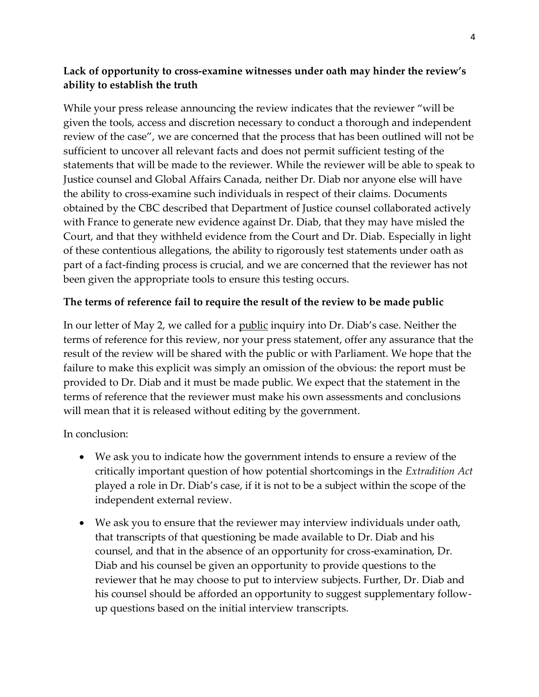# **Lack of opportunity to cross-examine witnesses under oath may hinder the review's ability to establish the truth**

While your press release announcing the review indicates that the reviewer "will be given the tools, access and discretion necessary to conduct a thorough and independent review of the case", we are concerned that the process that has been outlined will not be sufficient to uncover all relevant facts and does not permit sufficient testing of the statements that will be made to the reviewer. While the reviewer will be able to speak to Justice counsel and Global Affairs Canada, neither Dr. Diab nor anyone else will have the ability to cross-examine such individuals in respect of their claims. Documents obtained by the CBC described that Department of Justice counsel collaborated actively with France to generate new evidence against Dr. Diab, that they may have misled the Court, and that they withheld evidence from the Court and Dr. Diab. Especially in light of these contentious allegations, the ability to rigorously test statements under oath as part of a fact-finding process is crucial, and we are concerned that the reviewer has not been given the appropriate tools to ensure this testing occurs.

### **The terms of reference fail to require the result of the review to be made public**

In our letter of May 2, we called for a <u>public</u> inquiry into Dr. Diab's case. Neither the terms of reference for this review, nor your press statement, offer any assurance that the result of the review will be shared with the public or with Parliament. We hope that the failure to make this explicit was simply an omission of the obvious: the report must be provided to Dr. Diab and it must be made public. We expect that the statement in the terms of reference that the reviewer must make his own assessments and conclusions will mean that it is released without editing by the government.

In conclusion:

- We ask you to indicate how the government intends to ensure a review of the critically important question of how potential shortcomings in the *Extradition Act*  played a role in Dr. Diab's case, if it is not to be a subject within the scope of the independent external review.
- We ask you to ensure that the reviewer may interview individuals under oath, that transcripts of that questioning be made available to Dr. Diab and his counsel, and that in the absence of an opportunity for cross-examination, Dr. Diab and his counsel be given an opportunity to provide questions to the reviewer that he may choose to put to interview subjects. Further, Dr. Diab and his counsel should be afforded an opportunity to suggest supplementary followup questions based on the initial interview transcripts.